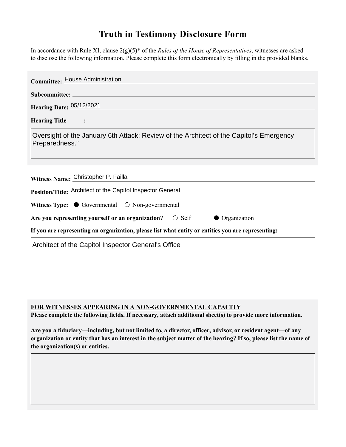## **Truth in Testimony Disclosure Form**

In accordance with Rule XI, clause 2(g)(5)\* of the *Rules of the House of Representatives*, witnesses are asked to disclose the following information. Please complete this form electronically by filling in the provided blanks.

| <b>Committee: House Administration</b>                                                                    |
|-----------------------------------------------------------------------------------------------------------|
|                                                                                                           |
| Hearing Date: 05/12/2021                                                                                  |
| <b>Hearing Title</b><br>$\ddot{\cdot}$                                                                    |
| Oversight of the January 6th Attack: Review of the Architect of the Capitol's Emergency<br>Preparedness." |
| Witness Name: Christopher P. Failla                                                                       |
| Position/Title: Architect of the Capitol Inspector General                                                |
| Witness Type: $\bullet$ Governmental $\circ$ Non-governmental                                             |
| Are you representing yourself or an organization? $\circ$ Self<br>• Organization                          |
| If you are representing an organization, please list what entity or entities you are representing:        |
| Architect of the Capitol Inspector General's Office                                                       |

**FOR WITNESSES APPEARING IN A NON-GOVERNMENTAL CAPACITY**

**Please complete the following fields. If necessary, attach additional sheet(s) to provide more information.**

**Are you a fiduciary—including, but not limited to, a director, officer, advisor, or resident agent—of any organization or entity that has an interest in the subject matter of the hearing? If so, please list the name of the organization(s) or entities.**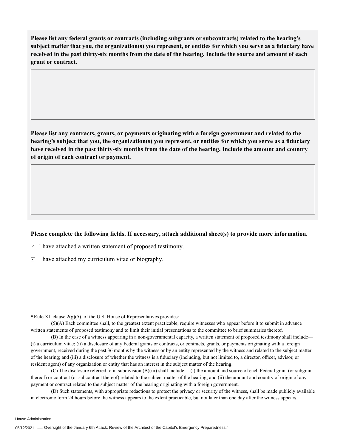**Please list any federal grants or contracts (including subgrants or subcontracts) related to the hearing's subject matter that you, the organization(s) you represent, or entities for which you serve as a fiduciary have received in the past thirty-six months from the date of the hearing. Include the source and amount of each grant or contract.** 

**Please list any contracts, grants, or payments originating with a foreign government and related to the hearing's subject that you, the organization(s) you represent, or entities for which you serve as a fiduciary have received in the past thirty-six months from the date of the hearing. Include the amount and country of origin of each contract or payment.** 

## **Please complete the following fields. If necessary, attach additional sheet(s) to provide more information.**

 $\exists$  I have attached a written statement of proposed testimony.

 $\subseteq$  I have attached my curriculum vitae or biography.

**\***Rule XI, clause 2(g)(5), of the U.S. House of Representatives provides:

(5)(A) Each committee shall, to the greatest extent practicable, require witnesses who appear before it to submit in advance written statements of proposed testimony and to limit their initial presentations to the committee to brief summaries thereof.

(B) In the case of a witness appearing in a non-governmental capacity, a written statement of proposed testimony shall include— (i) a curriculum vitae; (ii) a disclosure of any Federal grants or contracts, or contracts, grants, or payments originating with a foreign government, received during the past 36 months by the witness or by an entity represented by the witness and related to the subject matter of the hearing; and (iii) a disclosure of whether the witness is a fiduciary (including, but not limited to, a director, officer, advisor, or resident agent) of any organization or entity that has an interest in the subject matter of the hearing.

(C) The disclosure referred to in subdivision (B)(iii) shall include— (i) the amount and source of each Federal grant (or subgrant thereof) or contract (or subcontract thereof) related to the subject matter of the hearing; and (ii) the amount and country of origin of any payment or contract related to the subject matter of the hearing originating with a foreign government.

(D) Such statements, with appropriate redactions to protect the privacy or security of the witness, shall be made publicly available in electronic form 24 hours before the witness appears to the extent practicable, but not later than one day after the witness appears.

House Administration